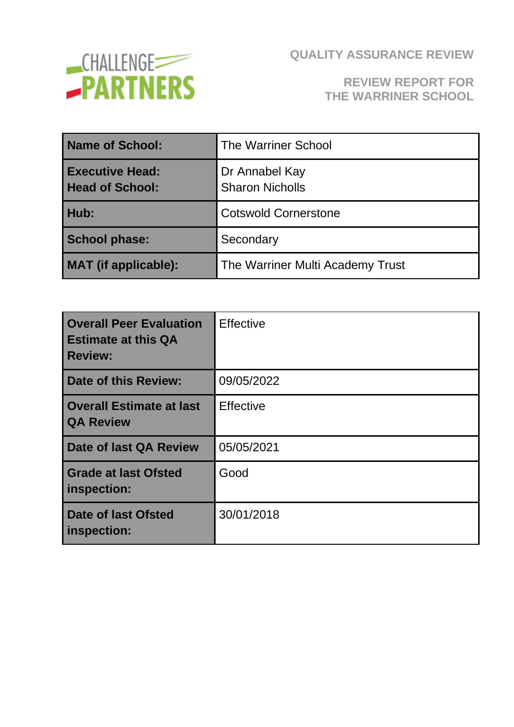

# **REVIEW REPORT FOR THE WARRINER SCHOOL**

| Name of School:                                  | <b>The Warriner School</b>               |
|--------------------------------------------------|------------------------------------------|
| <b>Executive Head:</b><br><b>Head of School:</b> | Dr Annabel Kay<br><b>Sharon Nicholls</b> |
| Hub:                                             | <b>Cotswold Cornerstone</b>              |
| <b>School phase:</b>                             | Secondary                                |
| <b>MAT</b> (if applicable):                      | The Warriner Multi Academy Trust         |

| <b>Overall Peer Evaluation</b><br><b>Estimate at this QA</b><br><b>Review:</b> | <b>Effective</b> |
|--------------------------------------------------------------------------------|------------------|
| Date of this Review:                                                           | 09/05/2022       |
| Overall Estimate at last<br><b>QA Review</b>                                   | <b>Effective</b> |
| Date of last QA Review                                                         | 05/05/2021       |
| <b>Grade at last Ofsted</b><br>inspection:                                     | Good             |
| Date of last Ofsted<br>inspection:                                             | 30/01/2018       |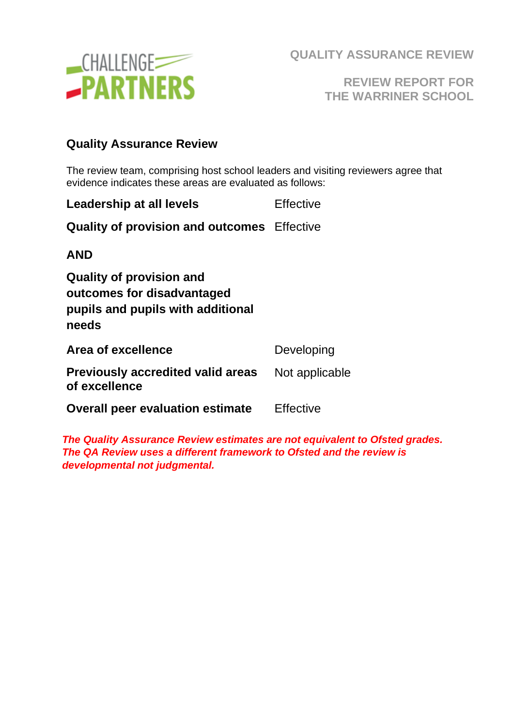

**REVIEW REPORT FOR THE WARRINER SCHOOL**

#### **Quality Assurance Review**

The review team, comprising host school leaders and visiting reviewers agree that evidence indicates these areas are evaluated as follows:

| <b>Effective</b>                                   |
|----------------------------------------------------|
| <b>Quality of provision and outcomes</b> Effective |
|                                                    |
|                                                    |
| Developing                                         |
| Not applicable                                     |
| <b>Effective</b>                                   |
|                                                    |

*The Quality Assurance Review estimates are not equivalent to Ofsted grades. The QA Review uses a different framework to Ofsted and the review is developmental not judgmental.*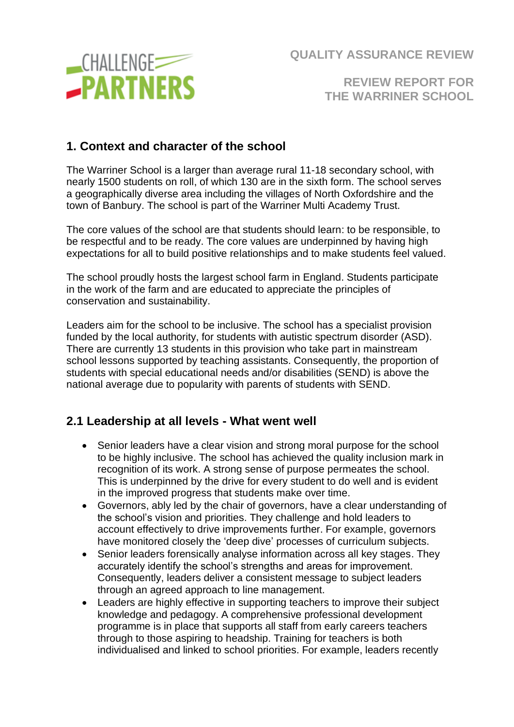

**REVIEW REPORT FOR THE WARRINER SCHOOL**

## **1. Context and character of the school**

The Warriner School is a larger than average rural 11-18 secondary school, with nearly 1500 students on roll, of which 130 are in the sixth form. The school serves a geographically diverse area including the villages of North Oxfordshire and the town of Banbury. The school is part of the Warriner Multi Academy Trust.

The core values of the school are that students should learn: to be responsible, to be respectful and to be ready. The core values are underpinned by having high expectations for all to build positive relationships and to make students feel valued.

The school proudly hosts the largest school farm in England. Students participate in the work of the farm and are educated to appreciate the principles of conservation and sustainability.

Leaders aim for the school to be inclusive. The school has a specialist provision funded by the local authority, for students with autistic spectrum disorder (ASD). There are currently 13 students in this provision who take part in mainstream school lessons supported by teaching assistants. Consequently, the proportion of students with special educational needs and/or disabilities (SEND) is above the national average due to popularity with parents of students with SEND.

#### **2.1 Leadership at all levels - What went well**

- Senior leaders have a clear vision and strong moral purpose for the school to be highly inclusive. The school has achieved the quality inclusion mark in recognition of its work. A strong sense of purpose permeates the school. This is underpinned by the drive for every student to do well and is evident in the improved progress that students make over time.
- Governors, ably led by the chair of governors, have a clear understanding of the school's vision and priorities. They challenge and hold leaders to account effectively to drive improvements further. For example, governors have monitored closely the 'deep dive' processes of curriculum subjects.
- Senior leaders forensically analyse information across all key stages. They accurately identify the school's strengths and areas for improvement. Consequently, leaders deliver a consistent message to subject leaders through an agreed approach to line management.
- Leaders are highly effective in supporting teachers to improve their subject knowledge and pedagogy. A comprehensive professional development programme is in place that supports all staff from early careers teachers through to those aspiring to headship. Training for teachers is both individualised and linked to school priorities. For example, leaders recently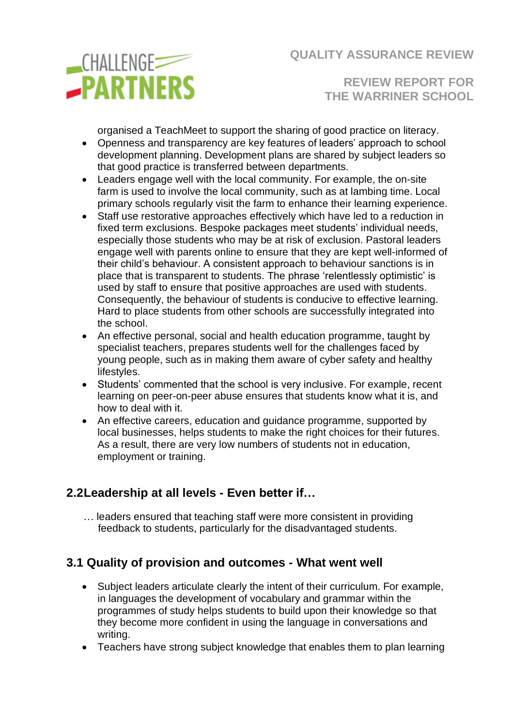

**REVIEW REPORT FOR THE WARRINER SCHOOL**

organised a TeachMeet to support the sharing of good practice on literacy.

- Openness and transparency are key features of leaders' approach to school development planning. Development plans are shared by subject leaders so that good practice is transferred between departments.
- Leaders engage well with the local community. For example, the on-site farm is used to involve the local community, such as at lambing time. Local primary schools regularly visit the farm to enhance their learning experience.
- Staff use restorative approaches effectively which have led to a reduction in fixed term exclusions. Bespoke packages meet students' individual needs, especially those students who may be at risk of exclusion. Pastoral leaders engage well with parents online to ensure that they are kept well-informed of their child's behaviour. A consistent approach to behaviour sanctions is in place that is transparent to students. The phrase 'relentlessly optimistic' is used by staff to ensure that positive approaches are used with students. Consequently, the behaviour of students is conducive to effective learning. Hard to place students from other schools are successfully integrated into the school.
- An effective personal, social and health education programme, taught by specialist teachers, prepares students well for the challenges faced by young people, such as in making them aware of cyber safety and healthy lifestyles.
- Students' commented that the school is very inclusive. For example, recent learning on peer-on-peer abuse ensures that students know what it is, and how to deal with it.
- An effective careers, education and guidance programme, supported by local businesses, helps students to make the right choices for their futures. As a result, there are very low numbers of students not in education, employment or training.

# **2.2Leadership at all levels - Even better if…**

 … leaders ensured that teaching staff were more consistent in providing feedback to students, particularly for the disadvantaged students.

# **3.1 Quality of provision and outcomes - What went well**

- Subject leaders articulate clearly the intent of their curriculum. For example, in languages the development of vocabulary and grammar within the programmes of study helps students to build upon their knowledge so that they become more confident in using the language in conversations and writing.
- Teachers have strong subject knowledge that enables them to plan learning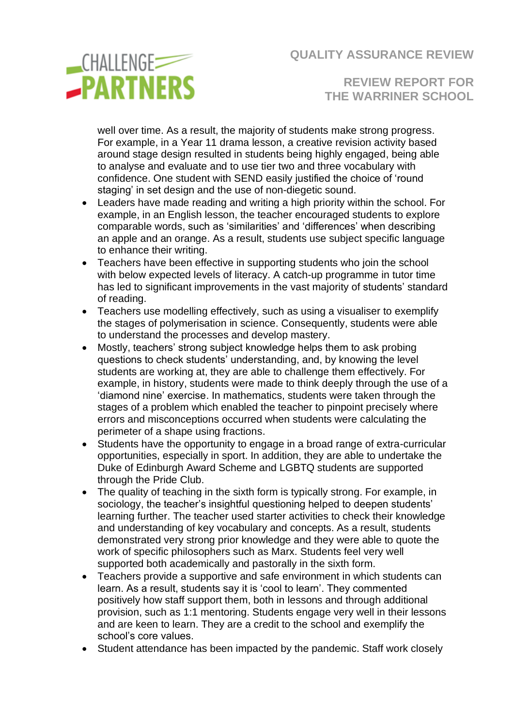

**REVIEW REPORT FOR THE WARRINER SCHOOL**

well over time. As a result, the majority of students make strong progress. For example, in a Year 11 drama lesson, a creative revision activity based around stage design resulted in students being highly engaged, being able to analyse and evaluate and to use tier two and three vocabulary with confidence. One student with SEND easily justified the choice of 'round staging' in set design and the use of non-diegetic sound.

- Leaders have made reading and writing a high priority within the school. For example, in an English lesson, the teacher encouraged students to explore comparable words, such as 'similarities' and 'differences' when describing an apple and an orange. As a result, students use subject specific language to enhance their writing.
- Teachers have been effective in supporting students who join the school with below expected levels of literacy. A catch-up programme in tutor time has led to significant improvements in the vast majority of students' standard of reading.
- Teachers use modelling effectively, such as using a visualiser to exemplify the stages of polymerisation in science. Consequently, students were able to understand the processes and develop mastery.
- Mostly, teachers' strong subject knowledge helps them to ask probing questions to check students' understanding, and, by knowing the level students are working at, they are able to challenge them effectively. For example, in history, students were made to think deeply through the use of a 'diamond nine' exercise. In mathematics, students were taken through the stages of a problem which enabled the teacher to pinpoint precisely where errors and misconceptions occurred when students were calculating the perimeter of a shape using fractions.
- Students have the opportunity to engage in a broad range of extra-curricular opportunities, especially in sport. In addition, they are able to undertake the Duke of Edinburgh Award Scheme and LGBTQ students are supported through the Pride Club.
- The quality of teaching in the sixth form is typically strong. For example, in sociology, the teacher's insightful questioning helped to deepen students' learning further. The teacher used starter activities to check their knowledge and understanding of key vocabulary and concepts. As a result, students demonstrated very strong prior knowledge and they were able to quote the work of specific philosophers such as Marx. Students feel very well supported both academically and pastorally in the sixth form.
- Teachers provide a supportive and safe environment in which students can learn. As a result, students say it is 'cool to learn'. They commented positively how staff support them, both in lessons and through additional provision, such as 1:1 mentoring. Students engage very well in their lessons and are keen to learn. They are a credit to the school and exemplify the school's core values.
- Student attendance has been impacted by the pandemic. Staff work closely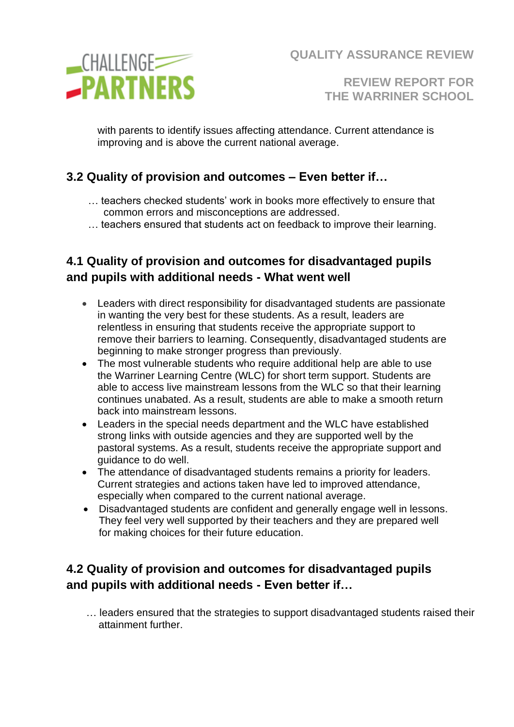

**REVIEW REPORT FOR THE WARRINER SCHOOL**

with parents to identify issues affecting attendance. Current attendance is improving and is above the current national average.

## **3.2 Quality of provision and outcomes – Even better if…**

- … teachers checked students' work in books more effectively to ensure that common errors and misconceptions are addressed.
- … teachers ensured that students act on feedback to improve their learning.

# **4.1 Quality of provision and outcomes for disadvantaged pupils and pupils with additional needs - What went well**

- Leaders with direct responsibility for disadvantaged students are passionate in wanting the very best for these students. As a result, leaders are relentless in ensuring that students receive the appropriate support to remove their barriers to learning. Consequently, disadvantaged students are beginning to make stronger progress than previously.
- The most vulnerable students who require additional help are able to use the Warriner Learning Centre (WLC) for short term support. Students are able to access live mainstream lessons from the WLC so that their learning continues unabated. As a result, students are able to make a smooth return back into mainstream lessons.
- Leaders in the special needs department and the WLC have established strong links with outside agencies and they are supported well by the pastoral systems. As a result, students receive the appropriate support and guidance to do well.
- The attendance of disadvantaged students remains a priority for leaders. Current strategies and actions taken have led to improved attendance, especially when compared to the current national average.
- Disadvantaged students are confident and generally engage well in lessons. They feel very well supported by their teachers and they are prepared well for making choices for their future education.

# **4.2 Quality of provision and outcomes for disadvantaged pupils and pupils with additional needs - Even better if…**

… leaders ensured that the strategies to support disadvantaged students raised their attainment further.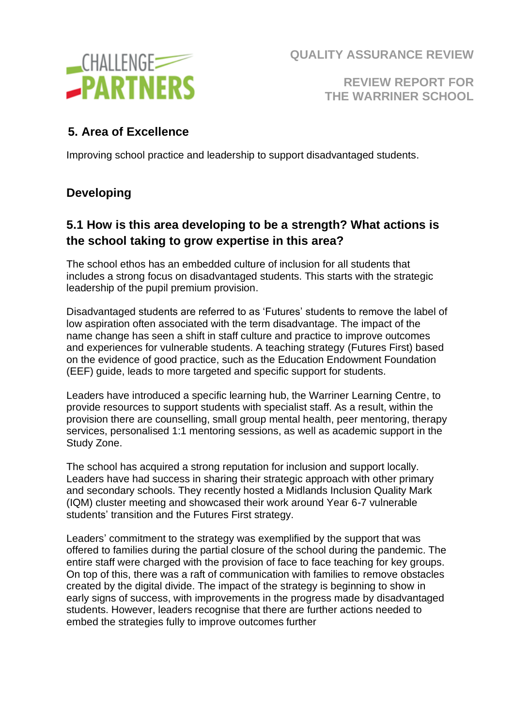

**REVIEW REPORT FOR THE WARRINER SCHOOL**

## **5. Area of Excellence**

Improving school practice and leadership to support disadvantaged students.

# **Developing**

## **5.1 How is this area developing to be a strength? What actions is the school taking to grow expertise in this area?**

The school ethos has an embedded culture of inclusion for all students that includes a strong focus on disadvantaged students. This starts with the strategic leadership of the pupil premium provision.

Disadvantaged students are referred to as 'Futures' students to remove the label of low aspiration often associated with the term disadvantage. The impact of the name change has seen a shift in staff culture and practice to improve outcomes and experiences for vulnerable students. A teaching strategy (Futures First) based on the evidence of good practice, such as the Education Endowment Foundation (EEF) guide, leads to more targeted and specific support for students.

Leaders have introduced a specific learning hub, the Warriner Learning Centre, to provide resources to support students with specialist staff. As a result, within the provision there are counselling, small group mental health, peer mentoring, therapy services, personalised 1:1 mentoring sessions, as well as academic support in the Study Zone.

The school has acquired a strong reputation for inclusion and support locally. Leaders have had success in sharing their strategic approach with other primary and secondary schools. They recently hosted a Midlands Inclusion Quality Mark (IQM) cluster meeting and showcased their work around Year 6-7 vulnerable students' transition and the Futures First strategy.

Leaders' commitment to the strategy was exemplified by the support that was offered to families during the partial closure of the school during the pandemic. The entire staff were charged with the provision of face to face teaching for key groups. On top of this, there was a raft of communication with families to remove obstacles created by the digital divide. The impact of the strategy is beginning to show in early signs of success, with improvements in the progress made by disadvantaged students. However, leaders recognise that there are further actions needed to embed the strategies fully to improve outcomes further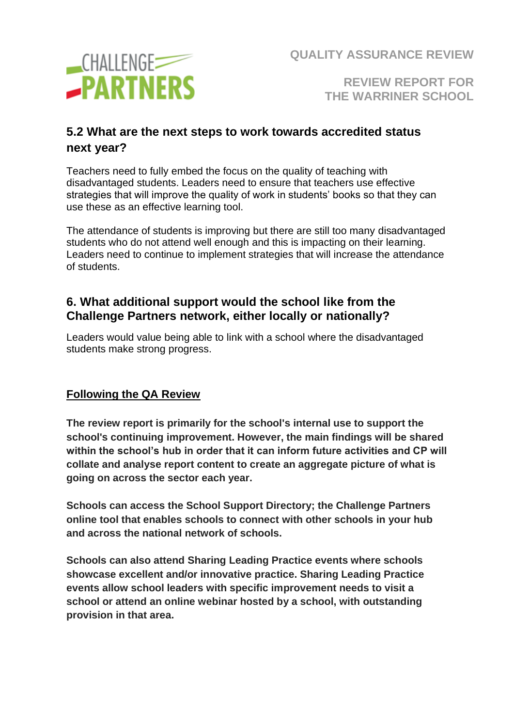

**REVIEW REPORT FOR THE WARRINER SCHOOL**

## **5.2 What are the next steps to work towards accredited status next year?**

Teachers need to fully embed the focus on the quality of teaching with disadvantaged students. Leaders need to ensure that teachers use effective strategies that will improve the quality of work in students' books so that they can use these as an effective learning tool.

The attendance of students is improving but there are still too many disadvantaged students who do not attend well enough and this is impacting on their learning. Leaders need to continue to implement strategies that will increase the attendance of students.

#### **6. What additional support would the school like from the Challenge Partners network, either locally or nationally?**

Leaders would value being able to link with a school where the disadvantaged students make strong progress.

#### **Following the QA Review**

**The review report is primarily for the school's internal use to support the school's continuing improvement. However, the main findings will be shared within the school's hub in order that it can inform future activities and CP will collate and analyse report content to create an aggregate picture of what is going on across the sector each year.**

**Schools can access the School Support Directory; the Challenge Partners online tool that enables schools to connect with other schools in your hub and across the national network of schools.**

**Schools can also attend Sharing Leading Practice events where schools showcase excellent and/or innovative practice. Sharing Leading Practice events allow school leaders with specific improvement needs to visit a school or attend an online webinar hosted by a school, with outstanding provision in that area.**